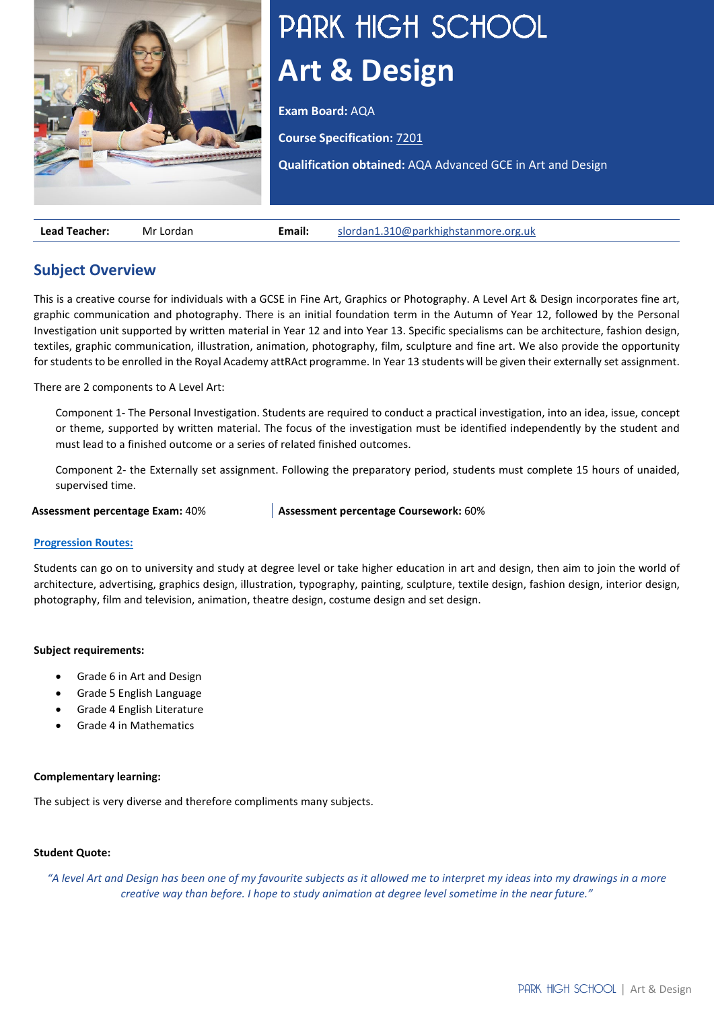

# PARK HIGH SCHOOL **Art & Design**

**Exam Board:** AQA

**Course Specification:** [7201](https://filestore.aqa.org.uk/resources/art-and-design/specifications/AQA-ART-SP-2015.PDF)

**Qualification obtained:** AQA Advanced GCE in Art and Design

**Lead Teacher:** Mr Lordan **Email:** [slordan1.310@parkhighstanmore.org.uk](mailto:slordan1.310@parkhighstanmore.org.uk)

# **Subject Overview**

This is a creative course for individuals with a GCSE in Fine Art, Graphics or Photography. A Level Art & Design incorporates fine art, graphic communication and photography. There is an initial foundation term in the Autumn of Year 12, followed by the Personal Investigation unit supported by written material in Year 12 and into Year 13. Specific specialisms can be architecture, fashion design, textiles, graphic communication, illustration, animation, photography, film, sculpture and fine art. We also provide the opportunity for students to be enrolled in the Royal Academy attRAct programme. In Year 13 students will be given their externally set assignment.

There are 2 components to A Level Art:

Component 1- The Personal Investigation. Students are required to conduct a practical investigation, into an idea, issue, concept or theme, supported by written material. The focus of the investigation must be identified independently by the student and must lead to a finished outcome or a series of related finished outcomes.

Component 2- the Externally set assignment. Following the preparatory period, students must complete 15 hours of unaided, supervised time.

**Assessment percentage Exam:** 40% **Assessment percentage Coursework:** 60%

## **[Progression Routes:](https://www.parkhighstanmore.org.uk/careersandemploaybility/studentresources)**

Students can go on to university and study at degree level or take higher education in art and design, then aim to join the world of architecture, advertising, graphics design, illustration, typography, painting, sculpture, textile design, fashion design, interior design, photography, film and television, animation, theatre design, costume design and set design.

## **Subject requirements:**

- Grade 6 in Art and Design
- Grade 5 English Language
- Grade 4 English Literature
- Grade 4 in Mathematics

## **Complementary learning:**

The subject is very diverse and therefore compliments many subjects.

## **Student Quote:**

*"A level Art and Design has been one of my favourite subjects as it allowed me to interpret my ideas into my drawings in a more creative way than before. I hope to study animation at degree level sometime in the near future."*